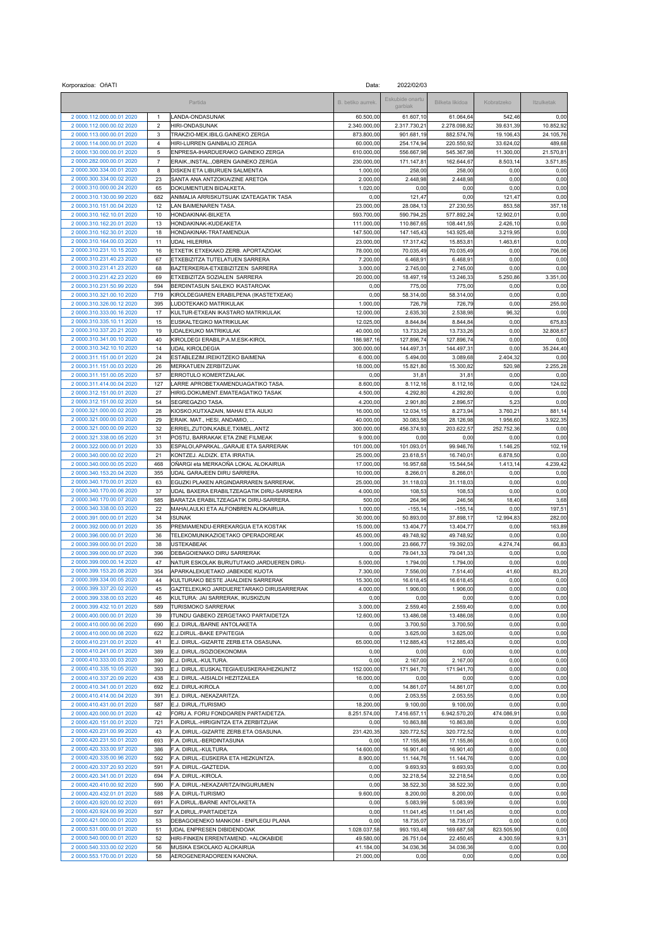| Korporazioa: OñATI<br>Data:                            |                |                                                                             |                        |                            |                        |                  |                |
|--------------------------------------------------------|----------------|-----------------------------------------------------------------------------|------------------------|----------------------------|------------------------|------------------|----------------|
|                                                        |                | Partida                                                                     | B. betiko aurrek.      | Eskubide onartu<br>garbiak | Bilketa likidoa        | Kobratzeko       | Itzulketak     |
| 2 0000.112.000.00.01 2020                              | $\overline{1}$ | LANDA-ONDASUNAK                                                             | 60.500,00              | 61.607,10                  | 61.064,64              | 542,46           | 0,00           |
| 2 0000.112.000.00.02 2020                              | $\mathbf 2$    | <b>HIRI-ONDASUNAK</b>                                                       | 2.340.000,00           | 2.317.730,2                | 2.278.098,82           | 39.631,39        | 10.852,92      |
| 2 0000.113.000.00.01 2020                              | 3              | TRAKZIO-MEK.IBILG.GAINEKO ZERGA                                             | 873.800,00             | 901.681,19                 | 882.574,76             | 19.106,43        | 24.105,76      |
| 2 0000.114.000.00.01 2020                              | $\overline{4}$ | HIRI-LURREN GAINBALIO ZERGA                                                 | 60.000,00              | 254.174,94                 | 220.550,92             | 33.624,02        | 489,68         |
| 2 0000.130.000.00.01 2020                              | 5              | ENPRESA-IHARDUERAKO GAINEKO ZERGA                                           | 610.000,00             | 556.667,98                 | 545.367,98             | 11.300,00        | 21.570,81      |
| 2 0000.282.000.00.01 2020                              | $\overline{7}$ | ERAIK., INSTAL., OBREN GAINEKO ZERGA                                        | 230.000,00             | 171.147,81                 | 162.644,67             | 8.503,14         | 3.571,85       |
| 2 0000.300.334.00.01 2020                              | 8              | DISKEN ETA LIBURUEN SALMENTA                                                | 1.000,00               | 258,00                     | 258,00                 | 0,00             | 0,00           |
| 2 0000.300.334.00.02 2020                              | 23             | SANTA ANA ANTZOKIA/ZINE ARETOA                                              | 2.000,00               | 2.448,98                   | 2.448,98               | 0,00             | 0,00           |
| 2 0000.310.000.00.24 2020                              | 65             | DOKUMENTUEN BIDALKETA.                                                      | 1.020,00               | 0,00                       | 0,00                   | 0,00             | 0,00           |
| 2 0000.310.130.00.99 2020                              | 682            | ANIMALIA ARRISKUTSUAK IZATEAGATIK TASA                                      | 0,00                   | 121,47                     | 0,00                   | 121,47           | 0,00           |
| 2 0000.310.151.00.04 2020                              | 12             | LAN BAIMENAREN TASA                                                         | 23.000,00              | 28.084,13                  | 27.230,55              | 853,58           | 357,18         |
| 2 0000.310.162.10.01 2020                              | 10             | HONDAKINAK-BILKETA                                                          | 593.700,00             | 590.794,25                 | 577.892,24             | 12.902,01        | 0,00           |
| 2 0000.310.162.20.01 2020                              | 13             | HONDAKINAK-KUDEAKETA                                                        | 111.000.00             | 110.867,65                 | 108.441.55             | 2.426,10         | 0,00           |
| 2 0000.310.162.30.01 2020<br>2 0000.310.164.00.03 2020 | 18             | HONDAKINAK-TRATAMENDUA                                                      | 147.500.00             | 147.145.43                 | 143.925,48             | 3.219,95         | 0,00           |
| 2 0000.310.231.10.15 2020                              | 11<br>16       | <b>UDAL HILERRIA</b><br>ETXETIK ETXEKAKO ZERB. APORTAZIOAK                  | 23.000,00<br>78.000,00 | 17.317,42<br>70.035,49     | 15.853,81<br>70.035,49 | 1.463,61<br>0,00 | 0,00<br>706,06 |
| 2 0000.310.231.40.23 2020                              | 67             | ETXEBIZITZA TUTELATUEN SARRERA                                              | 7.200,00               | 6.468,91                   | 6.468,91               | 0,00             | 0,00           |
| 2 0000.310.231.41.23 2020                              | 68             | BAZTERKERIA-ETXEBIZITZEN SARRERA                                            | 3.000,00               | 2.745,00                   | 2.745,00               | 0,00             | 0,00           |
| 2 0000.310.231.42.23 2020                              | 69             | ETXEBIZITZA SOZIALEN SARRERA                                                | 20.000,00              | 18.497,19                  | 13.246,33              | 5.250,86         | 3.351,00       |
| 2 0000.310.231.50.99 2020                              | 594            | BERDINTASUN SAILEKO IKASTAROAK                                              | 0,00                   | 775,00                     | 775,00                 | 0,00             | 0,00           |
| 2 0000.310.321.00.10 2020                              | 719            | KIROLDEGIAREN ERABILPENA (IKASTETXEAK)                                      | 0,00                   | 58.314,00                  | 58.314,00              | 0,00             | 0,00           |
| 2 0000.310.326.00.12 2020                              | 395            | LUDOTEKAKO MATRIKULAK                                                       | 1.000,00               | 726,79                     | 726,79                 | 0,00             | 255,00         |
| 2 0000.310.333.00.16 2020                              | 17             | KULTUR-ETXEAN IKASTARO MATRIKULAK                                           | 12.000,00              | 2.635,30                   | 2.538,98               | 96,32            | 0,00           |
| 2 0000.310.335.10.11 2020                              | 15             | EUSKALTEGIKO MATRIKULAK                                                     | 12.025,00              | 8.844,84                   | 8.844,84               | 0,00             | 675,83         |
| 2 0000.310.337.20.21 2020                              | 19             | UDALEKUKO MATRIKULAK                                                        | 40.000,00              | 13.733,26                  | 13.733.26              | 0,00             | 32.808,67      |
| 2 0000.310.341.00.10 2020                              | 40             | KIROLDEGI ERABILP:A.M.ESK-KIROL                                             | 186.987,16             | 127.896,74                 | 127.896,74             | 0,00             | 0,00           |
| 2 0000.310.342.10.10 2020                              | 14             | UDAL KIROLDEGIA                                                             | 300.000,00             | 144.497,31                 | 144.497,31             | 0,00             | 35.244.40      |
| 2 0000.311.151.00.01 2020                              | 24             | ESTABLEZIM.IREIKITZEKO BAIMENA                                              | 6.000,00               | 5.494,00                   | 3.089,68               | 2.404,32         | 0,00           |
| 2 0000.311.151.00.03 2020                              | 26             | MERKATUEN ZERBITZUAK                                                        | 18.000,00              | 15.821,80                  | 15.300,82              | 520,98           | 2.255,28       |
| 2 0000.311.151.00.05 2020                              | 57             | ERROTULO KOMERTZIALAK                                                       | 0,00                   | 31,81                      | 31,81                  | 0,00             | 0,00           |
| 2 0000.311.414.00.04 2020                              | 127            | LARRE APROBETXAMENDUAGATIKO TASA                                            | 8.600,00               | 8.112,16                   | 8.112,16               | 0,00             | 124,02         |
| 2 0000.312.151.00.01 2020                              | 27             | HIRIG.DOKUMENT.EMATEAGATIKO TASAK                                           | 4.500,00               | 4.292,80                   | 4.292,80               | 0,00             | 0,00           |
| 2 0000.312.151.00.02 2020                              | 54             | SEGREGAZIO TASA                                                             | 4.200,00               | 2.901,80                   | 2.896,57               | 5,23             | 0,00           |
| 2 0000.321.000.00.02 2020                              | 28             | KIOSKO, KUTXAZAIN, MAHAI ETA AULKI                                          | 16.000,00              | 12.034,15                  | 8.273,94               | 3.760,21         | 881,14         |
| 2 0000.321.000.00.03 2020                              | 29             | ERAIK. MAT., HESI, ANDAMIO,                                                 | 40.000,00              | 30.083,58                  | 28.126,98              | 1.956,60         | 3.922,35       |
| 2 0000.321.000.00.09 2020                              | 32             | ERRIEL, ZUTOIN, KABLE, TXIMEL., ANTZ                                        | 300.000,00             | 456.374,93                 | 203.622,57             | 252.752,36       | 0,00           |
| 2 0000.321.338.00.05 2020                              | 31             | POSTU, BARRAKAK ETA ZINE FILMEAK                                            | 9.000,00               | 0,00                       | 0,00                   | 0,00             | 0,00           |
| 2 0000.322.000.00.01 2020                              | 33             | ESPALOI, APARKAL., GARAJE ETA SARRERAK                                      | 101.000,00             | 101.093,01                 | 99.946,76              | 1.146,25         | 102,19         |
| 2 0000.340.000.00.02 2020                              | 21             | KONTZEJ. ALDIZK. ETA IRRATIA                                                | 25.000,00              | 23.618,51                  | 16.740,01              | 6.878,50         | 0,00           |
| 2 0000.340.000.00.05 2020                              | 468            | OÑARGI eta MERKAOÑA LOKAL ALOKAIRUA                                         | 17.000,00              | 16.957,68                  | 15.544,54              | 1.413,14         | 4.239,42       |
| 2 0000.340.153.20.04 2020                              | 355            | UDAL GARAJEEN DIRU SARRERA                                                  | 10.000,00              | 8.266,01                   | 8.266,01               | 0,00             | 0,00           |
| 2 0000.340.170.00.01 2020                              | 63             | EGUZKI PLAKEN ARGINDARRAREN SARRERAK.                                       | 25.000,00              | 31.118,03                  | 31.118,03              | 0,00             | 0,00           |
| 2 0000.340.170.00.06 2020                              | 37             | UDAL BAXERA ERABILTZEAGATIK DIRU-SARRERA                                    | 4.000,00               | 108,53                     | 108,53                 | 0,00             | 0,00           |
| 2 0000.340.170.00.07 2020                              | 585            | BARATZA ERABILTZEAGATIK DIRU-SARRERA                                        | 500,00                 | 264,96                     | 246,56                 | 18,40            | 3,68           |
| 2 0000.340.338.00.03 2020                              | 22             | MAHAI, AULKI ETA ALFONBREN ALOKAIRUA.                                       | 1.000,00               | $-155,14$                  | $-155, 14$             | 0,00             | 197,51         |
| 2 0000.391.000.00.01 2020                              | 34             | <b>ISUNAK</b>                                                               | 30.000,00              | 50.893,00                  | 37.898.17              | 12.994.83        | 282,00         |
| 2 0000.392.000.00.01 2020                              | 35             | PREMIAMENDU-ERREKARGUA ETA KOSTAK                                           | 15.000,00              | 13.404,77                  | 13.404,77              | 0,00             | 163,89         |
| 2 0000.396.000.00.01 2020                              | 36             | TELEKOMUNIKAZIOETAKO OPERADOREAK                                            | 45.000,00              | 49.748,92                  | 49.748,92              | 0,00             | 0,00           |
| 2 0000.399.000.00.01 2020                              | 38             | <b>USTEKABEAK</b>                                                           | 1.000,00               | 23.666,77                  | 19.392,03              | 4.274,74         | 66,83          |
| 2 0000.399.000.00.07 2020                              | 396            | DEBAGOIENAKO DIRU SARRERAK                                                  | 0,00                   | 79.041,33                  | 79.041,33              | 0,00             | 0,00           |
| 2 0000.399.000.00.14 2020                              | 47             | NATUR ESKOLAK BURUTUTAKO JARDUEREN DIRU-                                    | 5.000,00               | 1.794,00                   | 1.794,00               | 0,00             | 0,00           |
| 2 0000.399.153.20.08 2020<br>2 0000.399.334.00.05 2020 | 354<br>44      | APARKALEKUETAKO JABEKIDE KUOTA                                              | 7.300,00               | 7.556,00                   | 7.514,40               | 41,60            | 83,20          |
|                                                        |                | KULTURAKO BESTE JAIALDIEN SARRERAK                                          | 15.300,00              | 16.618,45                  | 16.618,45              | 0,00             | 0,00           |
| 2 0000.399.337.20.02 2020                              | 45             | GAZTELEKUKO JARDUERETARAKO DIRUSARRERAK<br>KULTURA: JAI SARRERAK, IKUSKIZUN | 4.000,00               | 1.906,00                   | 1.906,00               | 0,00<br>0,00     | 0,00<br>0,00   |
| 2 0000.399.338.00.03 2020<br>2 0000.399.432.10.01 2020 | 46<br>589      | <b>TURISMOKO SARRERAK</b>                                                   | 0.00<br>3.000,00       | 0,00<br>2.559.40           | 0,00<br>2.559,40       | 0,00             | 0,00           |
|                                                        |                |                                                                             | 12.600,00              |                            |                        | 0,00             | 0,00           |
| 2 0000.400.000.00.01 2020<br>2 0000.410.000.00.06 2020 | 39<br>690      | ITUNDU GABEKO ZERGETAKO PARTAIDETZA<br>E.J. DIRUL./BARNE ANTOLAKETA         | 0,00                   | 13.486,08<br>3.700,50      | 13.486,08<br>3.700,50  | 0,00             | 0,00           |
| 2 0000.410.000.00.08 2020                              | 622            | E.J.DIRUL.-BAKE EPAITEGIA                                                   | 0,00                   | 3.625,00                   | 3.625,00               | 0,00             | 0,00           |
| 2 0000.410.231.00.01 2020                              | 41             | E.J. DIRUL.-GIZARTE ZERB.ETA OSASUNA.                                       | 65.000,00              | 112.885,43                 | 112.885,43             | 0,00             | 0,00           |
| 2 0000.410.241.00.01 2020                              | 389            | E.J. DIRUL./SOZIOEKONOMIA                                                   | 0,00                   | 0,00                       | 0,00                   | 0,00             | 0,00           |
| 2 0000.410.333.00.03 2020                              | 390            | E.J. DIRUL.-KULTURA.                                                        | 0,00                   | 2.167,00                   | 2.167,00               | 0,00             | 0,00           |
| 2 0000.410.335.10.05 2020                              | 393            | E.J. DIRUL./EUSKALTEGIA/EUSKERA/HEZKUNTZ                                    | 152.000,00             | 171.941,70                 | 171.941,70             | 0,00             | 0,00           |
| 2 0000.410.337.20.09 2020                              | 438            | E.J. DIRUL.-AISIALDI HEZITZAILEA                                            | 16.000,00              | 0,00                       | 0,00                   | 0,00             | 0,00           |
| 2 0000.410.341.00.01 2020                              | 692            | E.J. DIRUL-KIROLA                                                           | 0,00                   | 14.861,07                  | 14.861,07              | 0,00             | 0,00           |
| 2 0000.410.414.00.04 2020                              | 391            | E.J. DIRUL.-NEKAZARITZA.                                                    | 0.00                   | 2.053,55                   | 2.053,55               | 0,00             | 0,00           |
| 2 0000.410.431.00.01 2020                              | 587            | E.J. DIRUL./TURISMO                                                         | 18.200,00              | 9.100,00                   | 9.100,00               | 0,00             | 0,00           |
| 2 0000.420.000.00.01 2020                              | 42             | FORU A. FORU FONDOAREN PARTAIDETZA.                                         | 8.251.574,00           | 7.416.657,11               | 6.942.570,20           | 474.086,91       | 0,00           |
| 2 0000.420.151.00.01 2020                              | 721            | F.A.DIRUL.-HIRIGINTZA ETA ZERBITZUAK                                        | 0,00                   | 10.863,88                  | 10.863,88              | 0,00             | 0,00           |
| 2 0000.420.231.00.99 2020                              | 43             | F.A. DIRUL.-GIZARTE ZERB.ETA OSASUNA.                                       | 231.420,35             | 320.772,52                 | 320.772,52             | 0,00             | 0,00           |
| 2 0000.420.231.50.01 2020                              | 693            | F.A. DIRUL.-BERDINTASUNA                                                    | 0,00                   | 17.155,86                  | 17.155,86              | 0,00             | 0,00           |
| 2 0000.420.333.00.97 2020                              | 386            | F.A. DIRUL.-KULTURA.                                                        | 14.600,00              | 16.901,40                  | 16.901,40              | 0,00             | 0,00           |
| 2 0000.420.335.00.96 2020                              | 592            | F.A. DIRUL.-EUSKERA ETA HEZKUNTZA.                                          | 8.900,00               | 11.144,76                  | 11.144,76              | 0,00             | 0,00           |
| 2 0000.420.337.20.93 2020                              | 591            | F.A. DIRUL.-GAZTEDIA.                                                       | 0,00                   | 9.693,93                   | 9.693,93               | 0,00             | 0,00           |
| 2 0000.420.341.00.01 2020                              | 694            | F.A. DIRUL.-KIROLA.                                                         | 0,00                   | 32.218,54                  | 32.218,54              | 0,00             | 0,00           |
| 2 0000.420.410.00.92 2020                              | 590            | F.A. DIRUL.-NEKAZARITZA/INGURUMEN                                           | 0,00                   | 38.522,30                  | 38.522,30              | 0,00             | 0,00           |
| 2 0000.420.432.01.01 2020                              | 588            | F.A. DIRUL-TURISMO                                                          | 9.600,00               | 8.200,00                   | 8.200,00               | 0,00             | 0,00           |
| 2 0000.420.920.00.02 2020                              | 691            | F.A.DIRUL./BARNE ANTOLAKETA                                                 | 0,00                   | 5.083,99                   | 5.083,99               | 0,00             | 0,00           |
| 2 0000.420.924.00.99 2020                              | 597            | F.A.DIRUL./PARTAIDETZA                                                      | 0,00                   | 11.041,45                  | 11.041,45              | 0,00             | 0,00           |
| 2 0000.421.000.00.01 2020                              | 53             | DEBAGOIENEKO MANKOM - ENPLEGU PLANA                                         | 0,00                   | 18.735,07                  | 18.735,07              | 0,00             | 0,00           |
| 2 0000.531.000.00.01 2020                              | 51             | UDAL ENPRESEN DIBIDENDOAK                                                   | 1.028.037,58           | 993.193,48                 | 169.687,58             | 823.505,90       | 0,00           |
| 2 0000.540.000.00.01 2020                              | 52             | HIRI-FINKEN ERRENTAMEND. +ALOKABIDE                                         | 49.580,00              | 26.751,04                  | 22.450,45              | 4.300,59         | 9,31           |
| 2 0000.540.333.00.02 2020                              | 56             | MUSIKA ESKOLAKO ALOKAIRUA                                                   | 41.184,00              | 34.036,36                  | 34.036,36              | 0,00             | 0,00           |
| 2 0000.553.170.00.01 2020                              | 58             | AEROGENERADOREEN KANONA                                                     | 21.000,00              | 0,00                       | 0,00                   | 0,00             | 0,00           |